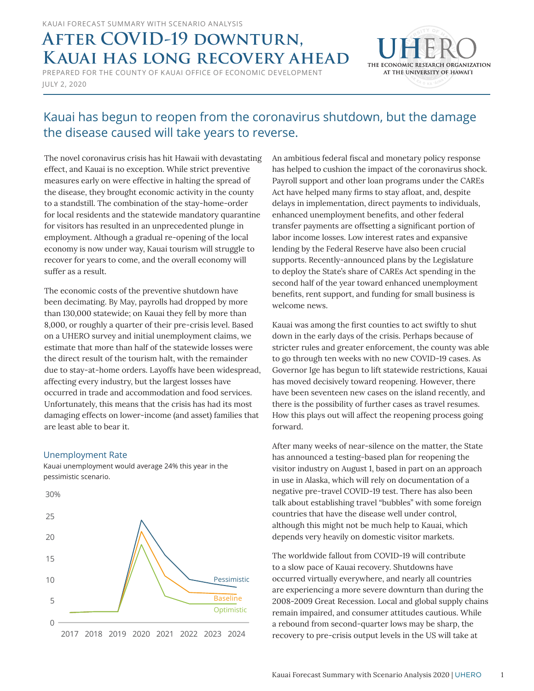# **AFTER COVID-19 DOWNTURN, Kauai has long recovery ahead**

JULY 2, 2020 PREPARED FOR THE COUNTY OF KAUAI OFFICE OF ECONOMIC DEVELOPMENT



### Kauai has begun to reopen from the coronavirus shutdown, but the damage the disease caused will take years to reverse.

The novel coronavirus crisis has hit Hawaii with devastating effect, and Kauai is no exception. While strict preventive measures early on were effective in halting the spread of the disease, they brought economic activity in the county to a standstill. The combination of the stay-home-order for local residents and the statewide mandatory quarantine for visitors has resulted in an unprecedented plunge in employment. Although a gradual re-opening of the local economy is now under way, Kauai tourism will struggle to recover for years to come, and the overall economy will suffer as a result.

The economic costs of the preventive shutdown have been decimating. By May, payrolls had dropped by more than 130,000 statewide; on Kauai they fell by more than 8,000, or roughly a quarter of their pre-crisis level. Based on a UHERO survey and initial unemployment claims, we estimate that more than half of the statewide losses were the direct result of the tourism halt, with the remainder due to stay-at-home orders. Layoffs have been widespread, affecting every industry, but the largest losses have occurred in trade and accommodation and food services. Unfortunately, this means that the crisis has had its most damaging effects on lower-income (and asset) families that are least able to bear it.

#### Unemployment Rate

Kauai unemployment would average 24% this year in the pessimistic scenario.



An ambitious federal fiscal and monetary policy response has helped to cushion the impact of the coronavirus shock. Payroll support and other loan programs under the CAREs Act have helped many firms to stay afloat, and, despite delays in implementation, direct payments to individuals, enhanced unemployment benefits, and other federal transfer payments are offsetting a significant portion of labor income losses. Low interest rates and expansive lending by the Federal Reserve have also been crucial supports. Recently-announced plans by the Legislature to deploy the State's share of CAREs Act spending in the second half of the year toward enhanced unemployment benefits, rent support, and funding for small business is welcome news.

Kauai was among the first counties to act swiftly to shut down in the early days of the crisis. Perhaps because of stricter rules and greater enforcement, the county was able to go through ten weeks with no new COVID-19 cases. As Governor Ige has begun to lift statewide restrictions, Kauai has moved decisively toward reopening. However, there have been seventeen new cases on the island recently, and there is the possibility of further cases as travel resumes. How this plays out will affect the reopening process going forward.

After many weeks of near-silence on the matter, the State has announced a testing-based plan for reopening the visitor industry on August 1, based in part on an approach in use in Alaska, which will rely on documentation of a negative pre-travel COVID-19 test. There has also been talk about establishing travel "bubbles" with some foreign countries that have the disease well under control, although this might not be much help to Kauai, which depends very heavily on domestic visitor markets.

The worldwide fallout from COVID-19 will contribute to a slow pace of Kauai recovery. Shutdowns have occurred virtually everywhere, and nearly all countries are experiencing a more severe downturn than during the 2008-2009 Great Recession. Local and global supply chains remain impaired, and consumer attitudes cautious. While a rebound from second-quarter lows may be sharp, the recovery to pre-crisis output levels in the US will take at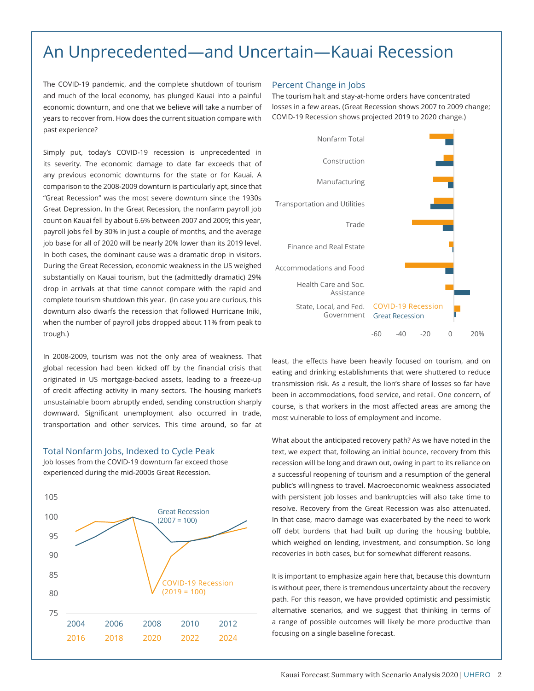## An Unprecedented—and Uncertain—Kauai Recession

The COVID-19 pandemic, and the complete shutdown of tourism and much of the local economy, has plunged Kauai into a painful economic downturn, and one that we believe will take a number of years to recover from. How does the current situation compare with past experience?

Simply put, today's COVID-19 recession is unprecedented in its severity. The economic damage to date far exceeds that of any previous economic downturns for the state or for Kauai. A comparison to the 2008-2009 downturn is particularly apt, since that "Great Recession" was the most severe downturn since the 1930s Great Depression. In the Great Recession, the nonfarm payroll job count on Kauai fell by about 6.6% between 2007 and 2009; this year, payroll jobs fell by 30% in just a couple of months, and the average job base for all of 2020 will be nearly 20% lower than its 2019 level. In both cases, the dominant cause was a dramatic drop in visitors. During the Great Recession, economic weakness in the US weighed substantially on Kauai tourism, but the (admittedly dramatic) 29% drop in arrivals at that time cannot compare with the rapid and complete tourism shutdown this year. (In case you are curious, this downturn also dwarfs the recession that followed Hurricane Iniki, when the number of payroll jobs dropped about 11% from peak to trough.)

In 2008-2009, tourism was not the only area of weakness. That global recession had been kicked off by the financial crisis that originated in US mortgage-backed assets, leading to a freeze-up of credit affecting activity in many sectors. The housing market's unsustainable boom abruptly ended, sending construction sharply downward. Significant unemployment also occurred in trade, transportation and other services. This time around, so far at

#### Total Nonfarm Jobs, Indexed to Cycle Peak

Job losses from the COVID-19 downturn far exceed those experienced during the mid-2000s Great Recession.



#### Percent Change in Jobs

The tourism halt and stay-at-home orders have concentrated losses in a few areas. (Great Recession shows 2007 to 2009 change; COVID-19 Recession shows projected 2019 to 2020 change.)



least, the effects have been heavily focused on tourism, and on eating and drinking establishments that were shuttered to reduce transmission risk. As a result, the lion's share of losses so far have been in accommodations, food service, and retail. One concern, of course, is that workers in the most affected areas are among the most vulnerable to loss of employment and income.

What about the anticipated recovery path? As we have noted in the text, we expect that, following an initial bounce, recovery from this recession will be long and drawn out, owing in part to its reliance on a successful reopening of tourism and a resumption of the general public's willingness to travel. Macroeconomic weakness associated with persistent job losses and bankruptcies will also take time to resolve. Recovery from the Great Recession was also attenuated. In that case, macro damage was exacerbated by the need to work off debt burdens that had built up during the housing bubble, which weighed on lending, investment, and consumption. So long recoveries in both cases, but for somewhat different reasons.

It is important to emphasize again here that, because this downturn is without peer, there is tremendous uncertainty about the recovery path. For this reason, we have provided optimistic and pessimistic alternative scenarios, and we suggest that thinking in terms of a range of possible outcomes will likely be more productive than focusing on a single baseline forecast.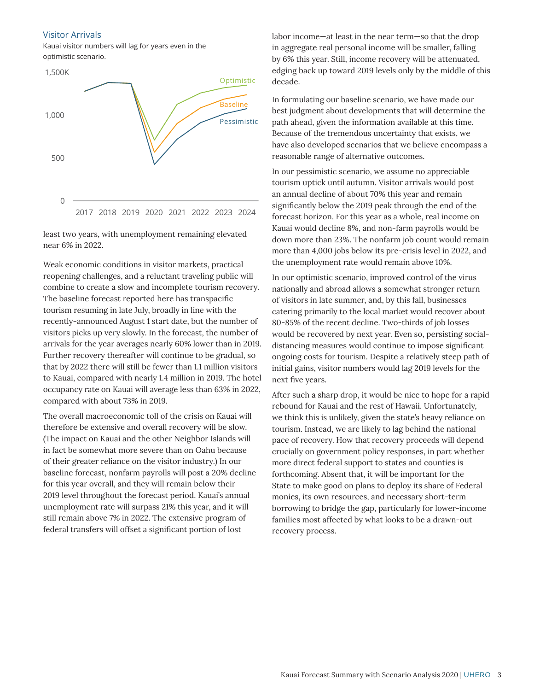#### Visitor Arrivals

Kauai visitor numbers will lag for years even in the optimistic scenario.



least two years, with unemployment remaining elevated near 6% in 2022.

Weak economic conditions in visitor markets, practical reopening challenges, and a reluctant traveling public will combine to create a slow and incomplete tourism recovery. The baseline forecast reported here has transpacific tourism resuming in late July, broadly in line with the recently-announced August 1 start date, but the number of visitors picks up very slowly. In the forecast, the number of arrivals for the year averages nearly 60% lower than in 2019. Further recovery thereafter will continue to be gradual, so that by 2022 there will still be fewer than 1.1 million visitors to Kauai, compared with nearly 1.4 million in 2019. The hotel occupancy rate on Kauai will average less than 63% in 2022, compared with about 73% in 2019.

The overall macroeconomic toll of the crisis on Kauai will therefore be extensive and overall recovery will be slow. (The impact on Kauai and the other Neighbor Islands will in fact be somewhat more severe than on Oahu because of their greater reliance on the visitor industry.) In our baseline forecast, nonfarm payrolls will post a 20% decline for this year overall, and they will remain below their 2019 level throughout the forecast period. Kauai's annual unemployment rate will surpass 21% this year, and it will still remain above 7% in 2022. The extensive program of federal transfers will offset a significant portion of lost

labor income—at least in the near term—so that the drop in aggregate real personal income will be smaller, falling by 6% this year. Still, income recovery will be attenuated, edging back up toward 2019 levels only by the middle of this decade.

In formulating our baseline scenario, we have made our best judgment about developments that will determine the path ahead, given the information available at this time. Because of the tremendous uncertainty that exists, we have also developed scenarios that we believe encompass a reasonable range of alternative outcomes.

In our pessimistic scenario, we assume no appreciable tourism uptick until autumn. Visitor arrivals would post an annual decline of about 70% this year and remain significantly below the 2019 peak through the end of the forecast horizon. For this year as a whole, real income on Kauai would decline 8%, and non-farm payrolls would be down more than 23%. The nonfarm job count would remain more than 4,000 jobs below its pre-crisis level in 2022, and the unemployment rate would remain above 10%.

In our optimistic scenario, improved control of the virus nationally and abroad allows a somewhat stronger return of visitors in late summer, and, by this fall, businesses catering primarily to the local market would recover about 80-85% of the recent decline. Two-thirds of job losses would be recovered by next year. Even so, persisting socialdistancing measures would continue to impose significant ongoing costs for tourism. Despite a relatively steep path of initial gains, visitor numbers would lag 2019 levels for the next five years.

After such a sharp drop, it would be nice to hope for a rapid rebound for Kauai and the rest of Hawaii. Unfortunately, we think this is unlikely, given the state's heavy reliance on tourism. Instead, we are likely to lag behind the national pace of recovery. How that recovery proceeds will depend crucially on government policy responses, in part whether more direct federal support to states and counties is forthcoming. Absent that, it will be important for the State to make good on plans to deploy its share of Federal monies, its own resources, and necessary short-term borrowing to bridge the gap, particularly for lower-income families most affected by what looks to be a drawn-out recovery process.